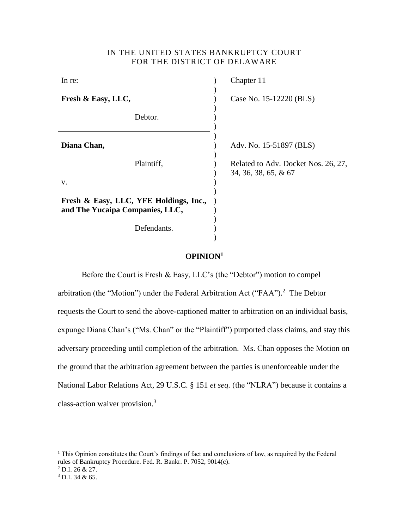## IN THE UNITED STATES BANKRUPTCY COURT FOR THE DISTRICT OF DELAWARE

| In re:                                                                    | Chapter 11                                                  |
|---------------------------------------------------------------------------|-------------------------------------------------------------|
| Fresh & Easy, LLC,                                                        | Case No. 15-12220 (BLS)                                     |
| Debtor.                                                                   |                                                             |
| Diana Chan,                                                               | Adv. No. 15-51897 (BLS)                                     |
| Plaintiff,<br>V.                                                          | Related to Adv. Docket Nos. 26, 27,<br>34, 36, 38, 65, & 67 |
|                                                                           |                                                             |
| Fresh & Easy, LLC, YFE Holdings, Inc.,<br>and The Yucaipa Companies, LLC, |                                                             |
| Defendants.                                                               |                                                             |

## **OPINION<sup>1</sup>**

Before the Court is Fresh & Easy, LLC's (the "Debtor") motion to compel arbitration (the "Motion") under the Federal Arbitration Act ("FAA"). 2 The Debtor requests the Court to send the above-captioned matter to arbitration on an individual basis, expunge Diana Chan's ("Ms. Chan" or the "Plaintiff") purported class claims, and stay this adversary proceeding until completion of the arbitration. Ms. Chan opposes the Motion on the ground that the arbitration agreement between the parties is unenforceable under the National Labor Relations Act, 29 U.S.C. § 151 *et seq.* (the "NLRA") because it contains a class-action waiver provision.<sup>3</sup>

<sup>&</sup>lt;sup>1</sup> This Opinion constitutes the Court's findings of fact and conclusions of law, as required by the Federal rules of Bankruptcy Procedure. Fed. R. Bankr. P. 7052, 9014(c).

 $^{2}$  D.I. 26 & 27.

<sup>3</sup> D.I. 34 & 65.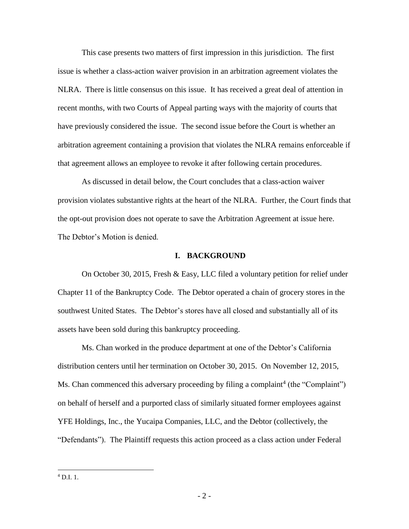This case presents two matters of first impression in this jurisdiction. The first issue is whether a class-action waiver provision in an arbitration agreement violates the NLRA. There is little consensus on this issue. It has received a great deal of attention in recent months, with two Courts of Appeal parting ways with the majority of courts that have previously considered the issue. The second issue before the Court is whether an arbitration agreement containing a provision that violates the NLRA remains enforceable if that agreement allows an employee to revoke it after following certain procedures.

As discussed in detail below, the Court concludes that a class-action waiver provision violates substantive rights at the heart of the NLRA. Further, the Court finds that the opt-out provision does not operate to save the Arbitration Agreement at issue here. The Debtor's Motion is denied.

## **I. BACKGROUND**

On October 30, 2015, Fresh & Easy, LLC filed a voluntary petition for relief under Chapter 11 of the Bankruptcy Code. The Debtor operated a chain of grocery stores in the southwest United States. The Debtor's stores have all closed and substantially all of its assets have been sold during this bankruptcy proceeding.

Ms. Chan worked in the produce department at one of the Debtor's California distribution centers until her termination on October 30, 2015. On November 12, 2015, Ms. Chan commenced this adversary proceeding by filing a complaint<sup>4</sup> (the "Complaint") on behalf of herself and a purported class of similarly situated former employees against YFE Holdings, Inc., the Yucaipa Companies, LLC, and the Debtor (collectively, the "Defendants"). The Plaintiff requests this action proceed as a class action under Federal

 $^{4}$  D.I. 1.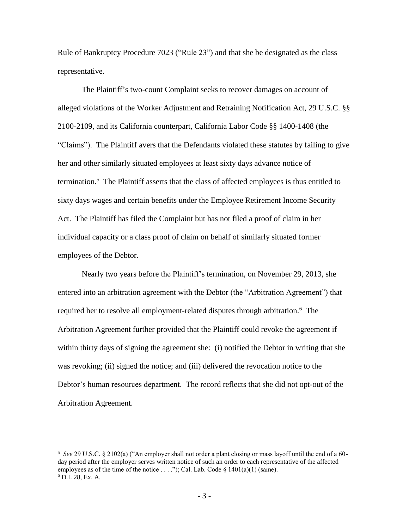Rule of Bankruptcy Procedure 7023 ("Rule 23") and that she be designated as the class representative.

The Plaintiff's two-count Complaint seeks to recover damages on account of alleged violations of the Worker Adjustment and Retraining Notification Act, 29 U.S.C. §§ 2100-2109, and its California counterpart, California Labor Code §§ 1400-1408 (the "Claims"). The Plaintiff avers that the Defendants violated these statutes by failing to give her and other similarly situated employees at least sixty days advance notice of termination.<sup>5</sup> The Plaintiff asserts that the class of affected employees is thus entitled to sixty days wages and certain benefits under the Employee Retirement Income Security Act. The Plaintiff has filed the Complaint but has not filed a proof of claim in her individual capacity or a class proof of claim on behalf of similarly situated former employees of the Debtor.

Nearly two years before the Plaintiff's termination, on November 29, 2013, she entered into an arbitration agreement with the Debtor (the "Arbitration Agreement") that required her to resolve all employment-related disputes through arbitration.<sup>6</sup> The Arbitration Agreement further provided that the Plaintiff could revoke the agreement if within thirty days of signing the agreement she: (i) notified the Debtor in writing that she was revoking; (ii) signed the notice; and (iii) delivered the revocation notice to the Debtor's human resources department. The record reflects that she did not opt-out of the Arbitration Agreement.

<sup>5</sup> *See* 29 U.S.C. § 2102(a) ("An employer shall not order a plant closing or mass layoff until the end of a 60 day period after the employer serves written notice of such an order to each representative of the affected employees as of the time of the notice . . . . "); Cal. Lab. Code  $\S$  1401(a)(1) (same). <sup>6</sup> D.I. 28, Ex. A.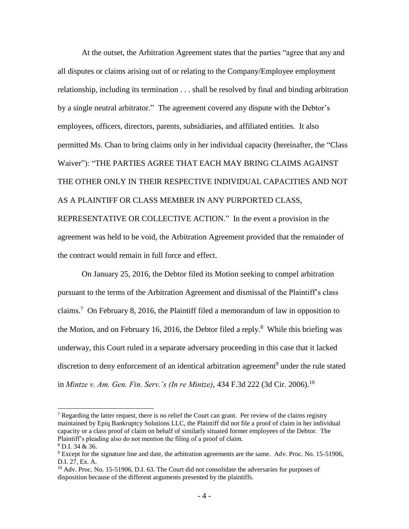At the outset, the Arbitration Agreement states that the parties "agree that any and all disputes or claims arising out of or relating to the Company/Employee employment relationship, including its termination . . . shall be resolved by final and binding arbitration by a single neutral arbitrator." The agreement covered any dispute with the Debtor's employees, officers, directors, parents, subsidiaries, and affiliated entities. It also permitted Ms. Chan to bring claims only in her individual capacity (hereinafter, the "Class Waiver"): "THE PARTIES AGREE THAT EACH MAY BRING CLAIMS AGAINST THE OTHER ONLY IN THEIR RESPECTIVE INDIVIDUAL CAPACITIES AND NOT AS A PLAINTIFF OR CLASS MEMBER IN ANY PURPORTED CLASS, REPRESENTATIVE OR COLLECTIVE ACTION." In the event a provision in the agreement was held to be void, the Arbitration Agreement provided that the remainder of the contract would remain in full force and effect.

On January 25, 2016, the Debtor filed its Motion seeking to compel arbitration pursuant to the terms of the Arbitration Agreement and dismissal of the Plaintiff's class claims. 7 On February 8, 2016, the Plaintiff filed a memorandum of law in opposition to the Motion, and on February 16, 2016, the Debtor filed a reply. $8$  While this briefing was underway, this Court ruled in a separate adversary proceeding in this case that it lacked discretion to deny enforcement of an identical arbitration agreement<sup>9</sup> under the rule stated in *Mintze v. Am. Gen. Fin. Serv.'s (In re Mintze)*, 434 F.3d 222 (3d Cir. 2006). 10

<sup>&</sup>lt;sup>7</sup> Regarding the latter request, there is no relief the Court can grant. Per review of the claims registry maintained by Epiq Bankruptcy Solutions LLC, the Plaintiff did not file a proof of claim in her individual capacity or a class proof of claim on behalf of similarly situated former employees of the Debtor. The Plaintiff's pleading also do not mention the filing of a proof of claim.

<sup>8</sup> D.I. 34 & 36.

<sup>&</sup>lt;sup>9</sup> Except for the signature line and date, the arbitration agreements are the same. Adv. Proc. No. 15-51906, D.I. 27, Ex. A.

<sup>&</sup>lt;sup>10</sup> Adv. Proc. No. 15-51906, D.I. 63. The Court did not consolidate the adversaries for purposes of disposition because of the different arguments presented by the plaintiffs.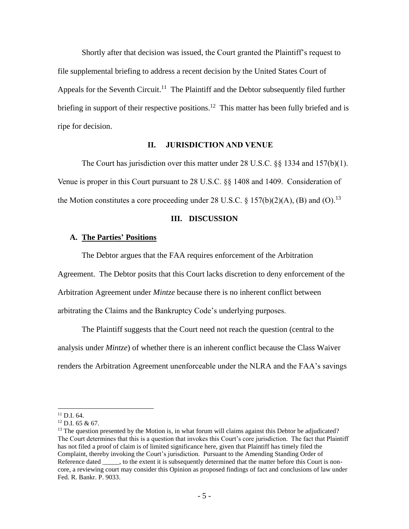Shortly after that decision was issued, the Court granted the Plaintiff's request to file supplemental briefing to address a recent decision by the United States Court of Appeals for the Seventh Circuit.<sup>11</sup> The Plaintiff and the Debtor subsequently filed further briefing in support of their respective positions.<sup>12</sup> This matter has been fully briefed and is ripe for decision.

## **II. JURISDICTION AND VENUE**

The Court has jurisdiction over this matter under 28 U.S.C. §§ 1334 and 157(b)(1). Venue is proper in this Court pursuant to 28 U.S.C. §§ 1408 and 1409. Consideration of the Motion constitutes a core proceeding under 28 U.S.C. § 157(b)(2)(A), (B) and (O).<sup>13</sup>

### **III. DISCUSSION**

### **A. The Parties' Positions**

The Debtor argues that the FAA requires enforcement of the Arbitration

Agreement. The Debtor posits that this Court lacks discretion to deny enforcement of the

Arbitration Agreement under *Mintze* because there is no inherent conflict between

arbitrating the Claims and the Bankruptcy Code's underlying purposes.

The Plaintiff suggests that the Court need not reach the question (central to the analysis under *Mintze*) of whether there is an inherent conflict because the Class Waiver renders the Arbitration Agreement unenforceable under the NLRA and the FAA's savings

<sup>11</sup> D.I. 64.

<sup>12</sup> D.I. 65 & 67.

<sup>&</sup>lt;sup>13</sup> The question presented by the Motion is, in what forum will claims against this Debtor be adjudicated? The Court determines that this is a question that invokes this Court's core jurisdiction. The fact that Plaintiff has not filed a proof of claim is of limited significance here, given that Plaintiff has timely filed the Complaint, thereby invoking the Court's jurisdiction. Pursuant to the Amending Standing Order of Reference dated \_\_\_\_, to the extent it is subsequently determined that the matter before this Court is noncore, a reviewing court may consider this Opinion as proposed findings of fact and conclusions of law under Fed. R. Bankr. P. 9033.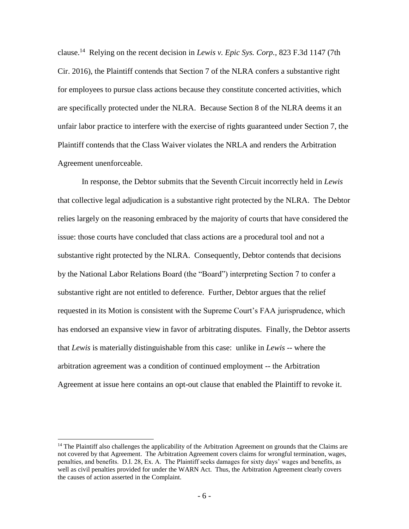clause. <sup>14</sup> Relying on the recent decision in *Lewis v. Epic Sys. Corp.,* 823 F.3d 1147 (7th Cir. 2016), the Plaintiff contends that Section 7 of the NLRA confers a substantive right for employees to pursue class actions because they constitute concerted activities, which are specifically protected under the NLRA. Because Section 8 of the NLRA deems it an unfair labor practice to interfere with the exercise of rights guaranteed under Section 7, the Plaintiff contends that the Class Waiver violates the NRLA and renders the Arbitration Agreement unenforceable.

In response, the Debtor submits that the Seventh Circuit incorrectly held in *Lewis*  that collective legal adjudication is a substantive right protected by the NLRA. The Debtor relies largely on the reasoning embraced by the majority of courts that have considered the issue: those courts have concluded that class actions are a procedural tool and not a substantive right protected by the NLRA. Consequently, Debtor contends that decisions by the National Labor Relations Board (the "Board") interpreting Section 7 to confer a substantive right are not entitled to deference. Further, Debtor argues that the relief requested in its Motion is consistent with the Supreme Court's FAA jurisprudence, which has endorsed an expansive view in favor of arbitrating disputes. Finally, the Debtor asserts that *Lewis* is materially distinguishable from this case: unlike in *Lewis* -- where the arbitration agreement was a condition of continued employment -- the Arbitration Agreement at issue here contains an opt-out clause that enabled the Plaintiff to revoke it.

<sup>&</sup>lt;sup>14</sup> The Plaintiff also challenges the applicability of the Arbitration Agreement on grounds that the Claims are not covered by that Agreement. The Arbitration Agreement covers claims for wrongful termination, wages, penalties, and benefits. D.I. 28, Ex. A. The Plaintiff seeks damages for sixty days' wages and benefits, as well as civil penalties provided for under the WARN Act. Thus, the Arbitration Agreement clearly covers the causes of action asserted in the Complaint.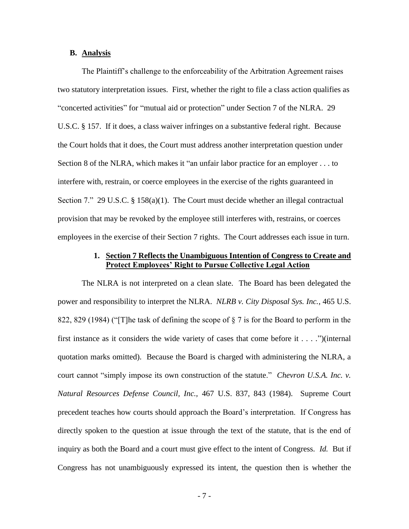## **B. Analysis**

The Plaintiff's challenge to the enforceability of the Arbitration Agreement raises two statutory interpretation issues. First, whether the right to file a class action qualifies as "concerted activities" for "mutual aid or protection" under Section 7 of the NLRA. 29 U.S.C. § 157. If it does, a class waiver infringes on a substantive federal right. Because the Court holds that it does, the Court must address another interpretation question under Section 8 of the NLRA, which makes it "an unfair labor practice for an employer . . . to interfere with, restrain, or coerce employees in the exercise of the rights guaranteed in Section 7." 29 U.S.C. § 158(a)(1). The Court must decide whether an illegal contractual provision that may be revoked by the employee still interferes with, restrains, or coerces employees in the exercise of their Section 7 rights. The Court addresses each issue in turn.

## **1. Section 7 Reflects the Unambiguous Intention of Congress to Create and Protect Employees' Right to Pursue Collective Legal Action**

The NLRA is not interpreted on a clean slate. The Board has been delegated the power and responsibility to interpret the NLRA. *NLRB v. City Disposal Sys. Inc.*, 465 U.S. 822, 829 (1984) ("[T]he task of defining the scope of § 7 is for the Board to perform in the first instance as it considers the wide variety of cases that come before it . . . .")(internal quotation marks omitted). Because the Board is charged with administering the NLRA, a court cannot "simply impose its own construction of the statute." *Chevron U.S.A. Inc. v. Natural Resources Defense Council, Inc.,* 467 U.S. 837, 843 (1984). Supreme Court precedent teaches how courts should approach the Board's interpretation. If Congress has directly spoken to the question at issue through the text of the statute, that is the end of inquiry as both the Board and a court must give effect to the intent of Congress. *Id.* But if Congress has not unambiguously expressed its intent, the question then is whether the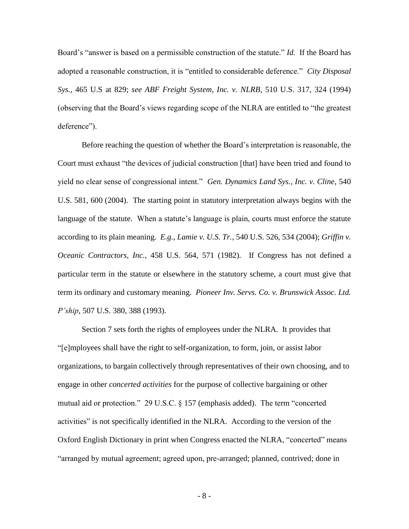Board's "answer is based on a permissible construction of the statute." *Id.* If the Board has adopted a reasonable construction, it is "entitled to considerable deference." *City Disposal Sys.*, 465 U.S at 829; *see ABF Freight System, Inc. v. NLRB*, 510 U.S. 317, 324 (1994) (observing that the Board's views regarding scope of the NLRA are entitled to "the greatest deference").

Before reaching the question of whether the Board's interpretation is reasonable, the Court must exhaust "the devices of judicial construction [that] have been tried and found to yield no clear sense of congressional intent." *Gen. Dynamics Land Sys., Inc. v. Cline*, 540 U.S. 581, 600 (2004). The starting point in statutory interpretation always begins with the language of the statute. When a statute's language is plain, courts must enforce the statute according to its plain meaning. *E.g.*, *Lamie v. U.S. Tr.*, 540 U.S. 526, 534 (2004); *Griffin v. Oceanic Contractors, Inc.,* 458 U.S. 564, 571 (1982). If Congress has not defined a particular term in the statute or elsewhere in the statutory scheme, a court must give that term its ordinary and customary meaning. *Pioneer Inv. Servs. Co. v. Brunswick Assoc. Ltd. P'ship*, 507 U.S. 380, 388 (1993).

Section 7 sets forth the rights of employees under the NLRA. It provides that "[e]mployees shall have the right to self-organization, to form, join, or assist labor organizations, to bargain collectively through representatives of their own choosing, and to engage in other *concerted activities* for the purpose of collective bargaining or other mutual aid or protection." 29 U.S.C. § 157 (emphasis added). The term "concerted activities" is not specifically identified in the NLRA. According to the version of the Oxford English Dictionary in print when Congress enacted the NLRA, "concerted" means "arranged by mutual agreement; agreed upon, pre-arranged; planned, contrived; done in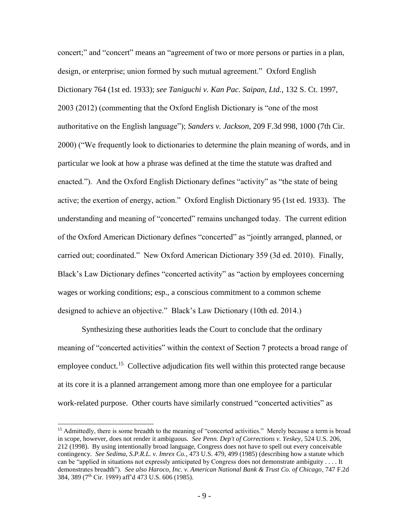concert;" and "concert" means an "agreement of two or more persons or parties in a plan, design, or enterprise; union formed by such mutual agreement." Oxford English Dictionary 764 (1st ed. 1933); *see Taniguchi v. Kan Pac. Saipan, Ltd.*, 132 S. Ct. 1997, 2003 (2012) (commenting that the Oxford English Dictionary is "one of the most authoritative on the English language"); *Sanders v. Jackson*, 209 F.3d 998, 1000 (7th Cir. 2000) ("We frequently look to dictionaries to determine the plain meaning of words, and in particular we look at how a phrase was defined at the time the statute was drafted and enacted."). And the Oxford English Dictionary defines "activity" as "the state of being active; the exertion of energy, action." Oxford English Dictionary 95 (1st ed. 1933). The understanding and meaning of "concerted" remains unchanged today. The current edition of the Oxford American Dictionary defines "concerted" as "jointly arranged, planned, or carried out; coordinated." New Oxford American Dictionary 359 (3d ed. 2010). Finally, Black's Law Dictionary defines "concerted activity" as "action by employees concerning wages or working conditions; esp., a conscious commitment to a common scheme designed to achieve an objective." Black's Law Dictionary (10th ed. 2014.)

Synthesizing these authorities leads the Court to conclude that the ordinary meaning of "concerted activities" within the context of Section 7 protects a broad range of employee conduct.<sup>15</sup> Collective adjudication fits well within this protected range because at its core it is a planned arrangement among more than one employee for a particular work-related purpose. Other courts have similarly construed "concerted activities" as

<sup>&</sup>lt;sup>15</sup> Admittedly, there is some breadth to the meaning of "concerted activities." Merely because a term is broad in scope, however, does not render it ambiguous. *See Penn. Dep't of Corrections v. Yeskey*, 524 U.S. 206, 212 (1998). By using intentionally broad language, Congress does not have to spell out every conceivable contingency. *See Sedima, S.P.R.L. v. Imrex Co.*, 473 U.S. 479, 499 (1985) (describing how a statute which can be "applied in situations not expressly anticipated by Congress does not demonstrate ambiguity . . . . It demonstrates breadth"). *See also Haroco, Inc. v. American National Bank & Trust Co. of Chicago*, 747 F.2d 384, 389 (7th Cir. 1989) aff'd 473 U.S. 606 (1985).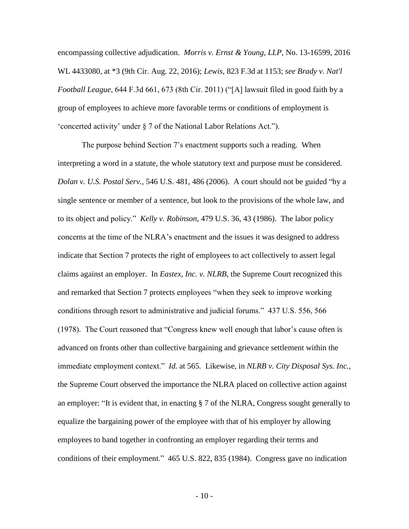encompassing collective adjudication. *Morris v. Ernst & Young, LLP*, No. 13-16599, 2016 WL 4433080, at \*3 (9th Cir. Aug. 22, 2016); *Lewis*, 823 F.3d at 1153; *see Brady v. Nat'l Football League*, 644 F.3d 661, 673 (8th Cir. 2011) ("[A] lawsuit filed in good faith by a group of employees to achieve more favorable terms or conditions of employment is 'concerted activity' under § 7 of the National Labor Relations Act.").

The purpose behind Section 7's enactment supports such a reading. When interpreting a word in a statute, the whole statutory text and purpose must be considered. *Dolan v. U.S. Postal Serv.*, 546 U.S. 481, 486 (2006). A court should not be guided "by a single sentence or member of a sentence, but look to the provisions of the whole law, and to its object and policy." *Kelly v. Robinson*, 479 U.S. 36, 43 (1986). The labor policy concerns at the time of the NLRA's enactment and the issues it was designed to address indicate that Section 7 protects the right of employees to act collectively to assert legal claims against an employer. In *Eastex, Inc. v. NLRB*, the Supreme Court recognized this and remarked that Section 7 protects employees "when they seek to improve working conditions through resort to administrative and judicial forums." 437 U.S. 556, 566 (1978). The Court reasoned that "Congress knew well enough that labor's cause often is advanced on fronts other than collective bargaining and grievance settlement within the immediate employment context." *Id.* at 565*.* Likewise, in *NLRB v. City Disposal Sys. Inc.,* the Supreme Court observed the importance the NLRA placed on collective action against an employer: "It is evident that, in enacting § 7 of the NLRA, Congress sought generally to equalize the bargaining power of the employee with that of his employer by allowing employees to band together in confronting an employer regarding their terms and conditions of their employment."465 U.S. 822, 835 (1984). Congress gave no indication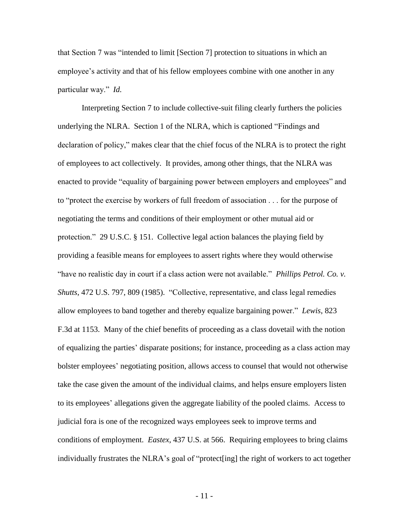that Section 7 was "intended to limit [Section 7] protection to situations in which an employee's activity and that of his fellow employees combine with one another in any particular way." *Id.* 

Interpreting Section 7 to include collective-suit filing clearly furthers the policies underlying the NLRA. Section 1 of the NLRA, which is captioned "Findings and declaration of policy," makes clear that the chief focus of the NLRA is to protect the right of employees to act collectively. It provides, among other things, that the NLRA was enacted to provide "equality of bargaining power between employers and employees" and to "protect the exercise by workers of full freedom of association . . . for the purpose of negotiating the terms and conditions of their employment or other mutual aid or protection." 29 U.S.C. § 151. Collective legal action balances the playing field by providing a feasible means for employees to assert rights where they would otherwise "have no realistic day in court if a class action were not available." *Phillips Petrol. Co. v. Shutts*, 472 U.S. 797, 809 (1985). "Collective, representative, and class legal remedies allow employees to band together and thereby equalize bargaining power." *Lewis*, 823 F.3d at 1153. Many of the chief benefits of proceeding as a class dovetail with the notion of equalizing the parties' disparate positions; for instance, proceeding as a class action may bolster employees' negotiating position, allows access to counsel that would not otherwise take the case given the amount of the individual claims, and helps ensure employers listen to its employees' allegations given the aggregate liability of the pooled claims. Access to judicial fora is one of the recognized ways employees seek to improve terms and conditions of employment. *Eastex*, 437 U.S. at 566. Requiring employees to bring claims individually frustrates the NLRA's goal of "protect[ing] the right of workers to act together

- 11 -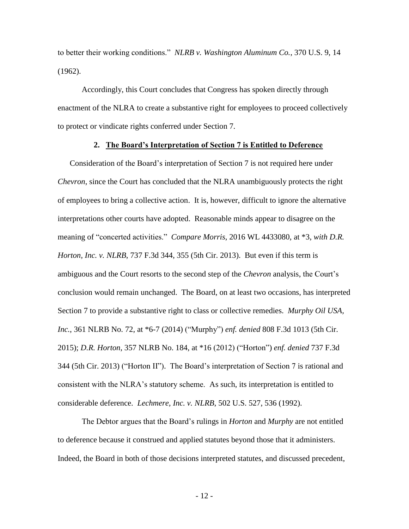to better their working conditions." *NLRB v. Washington Aluminum Co.*, 370 U.S. 9, 14 (1962).

Accordingly, this Court concludes that Congress has spoken directly through enactment of the NLRA to create a substantive right for employees to proceed collectively to protect or vindicate rights conferred under Section 7.

## **2. The Board's Interpretation of Section 7 is Entitled to Deference**

Consideration of the Board's interpretation of Section 7 is not required here under *Chevron*, since the Court has concluded that the NLRA unambiguously protects the right of employees to bring a collective action. It is, however, difficult to ignore the alternative interpretations other courts have adopted. Reasonable minds appear to disagree on the meaning of "concerted activities." *Compare Morris*, 2016 WL 4433080, at \*3, *with D.R. Horton, Inc. v. NLRB*, 737 F.3d 344, 355 (5th Cir. 2013).But even if this term is ambiguous and the Court resorts to the second step of the *Chevron* analysis, the Court's conclusion would remain unchanged. The Board, on at least two occasions, has interpreted Section 7 to provide a substantive right to class or collective remedies. *Murphy Oil USA, Inc.*, 361 NLRB No. 72, at \*6-7 (2014) ("Murphy") *enf. denied* 808 F.3d 1013 (5th Cir. 2015); *D.R. Horton*, 357 NLRB No. 184, at \*16 (2012) ("Horton") *enf. denied* 737 F.3d 344 (5th Cir. 2013) ("Horton II"). The Board's interpretation of Section 7 is rational and consistent with the NLRA's statutory scheme. As such, its interpretation is entitled to considerable deference. *Lechmere, Inc. v. NLRB*, 502 U.S. 527, 536 (1992).

The Debtor argues that the Board's rulings in *Horton* and *Murphy* are not entitled to deference because it construed and applied statutes beyond those that it administers. Indeed, the Board in both of those decisions interpreted statutes, and discussed precedent,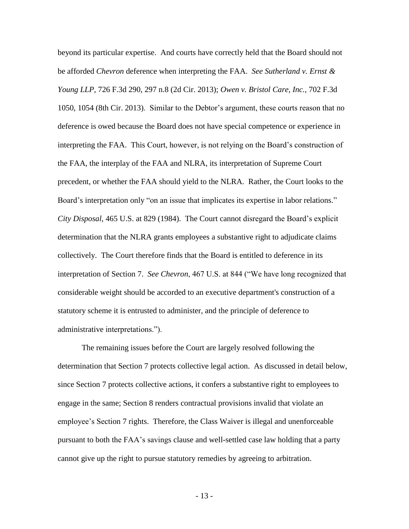beyond its particular expertise. And courts have correctly held that the Board should not be afforded *Chevron* deference when interpreting the FAA. *See Sutherland v. Ernst & Young LLP*, 726 F.3d 290, 297 n.8 (2d Cir. 2013); *Owen v. Bristol Care, Inc.*, 702 F.3d 1050, 1054 (8th Cir. 2013). Similar to the Debtor's argument, these courts reason that no deference is owed because the Board does not have special competence or experience in interpreting the FAA. This Court, however, is not relying on the Board's construction of the FAA, the interplay of the FAA and NLRA, its interpretation of Supreme Court precedent, or whether the FAA should yield to the NLRA. Rather, the Court looks to the Board's interpretation only "on an issue that implicates its expertise in labor relations." *City Disposal*, 465 U.S. at 829 (1984). The Court cannot disregard the Board's explicit determination that the NLRA grants employees a substantive right to adjudicate claims collectively. The Court therefore finds that the Board is entitled to deference in its interpretation of Section 7. *See Chevron*, 467 U.S. at 844 ("We have long recognized that considerable weight should be accorded to an executive department's construction of a statutory scheme it is entrusted to administer, and the principle of deference to administrative interpretations.").

The remaining issues before the Court are largely resolved following the determination that Section 7 protects collective legal action. As discussed in detail below, since Section 7 protects collective actions, it confers a substantive right to employees to engage in the same; Section 8 renders contractual provisions invalid that violate an employee's Section 7 rights. Therefore, the Class Waiver is illegal and unenforceable pursuant to both the FAA's savings clause and well-settled case law holding that a party cannot give up the right to pursue statutory remedies by agreeing to arbitration.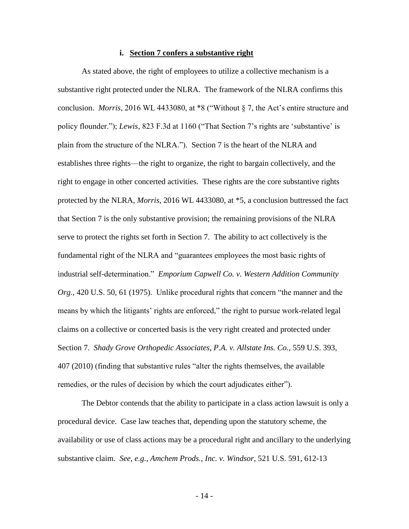#### **i. Section 7 confers a substantive right**

As stated above, the right of employees to utilize a collective mechanism is a substantive right protected under the NLRA. The framework of the NLRA confirms this conclusion. *Morris*, 2016 WL 4433080, at \*8 ("Without § 7, the Act's entire structure and policy flounder."); *Lewis*, 823 F.3d at 1160 ("That Section 7's rights are 'substantive' is plain from the structure of the NLRA."). Section 7 is the heart of the NLRA and establishes three rights—the right to organize, the right to bargain collectively, and the right to engage in other concerted activities. These rights are the core substantive rights protected by the NLRA, *Morris*, 2016 WL 4433080, at \*5, a conclusion buttressed the fact that Section 7 is the only substantive provision; the remaining provisions of the NLRA serve to protect the rights set forth in Section 7. The ability to act collectively is the fundamental right of the NLRA and "guarantees employees the most basic rights of industrial self-determination." *Emporium Capwell Co. v. Western Addition Community Org.*, 420 U.S. 50, 61 (1975). Unlike procedural rights that concern "the manner and the means by which the litigants' rights are enforced," the right to pursue work-related legal claims on a collective or concerted basis is the very right created and protected under Section 7. *Shady Grove Orthopedic Associates, P.A. v. Allstate Ins. Co.*, 559 U.S. 393, 407 (2010) (finding that substantive rules "alter the rights themselves, the available remedies, or the rules of decision by which the court adjudicates either").

The Debtor contends that the ability to participate in a class action lawsuit is only a procedural device. Case law teaches that, depending upon the statutory scheme, the availability or use of class actions may be a procedural right and ancillary to the underlying substantive claim. *See, e.g.*, *Amchem Prods., Inc. v. Windsor*, 521 U.S. 591, 612-13

- 14 -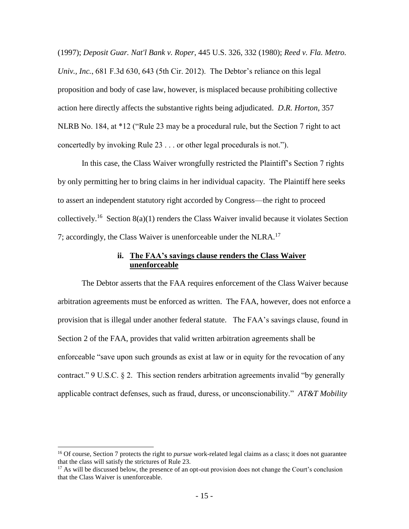(1997); *Deposit Guar. Nat'l Bank v. Roper*, 445 U.S. 326, 332 (1980); *Reed v. Fla. Metro. Univ., Inc.*, 681 F.3d 630, 643 (5th Cir. 2012). The Debtor's reliance on this legal proposition and body of case law, however, is misplaced because prohibiting collective action here directly affects the substantive rights being adjudicated. *D.R. Horton*, 357 NLRB No. 184, at \*12 ("Rule 23 may be a procedural rule, but the Section 7 right to act concertedly by invoking Rule 23 . . . or other legal procedurals is not.").

In this case, the Class Waiver wrongfully restricted the Plaintiff's Section 7 rights by only permitting her to bring claims in her individual capacity. The Plaintiff here seeks to assert an independent statutory right accorded by Congress—the right to proceed collectively.<sup>16</sup> Section 8(a)(1) renders the Class Waiver invalid because it violates Section 7; accordingly, the Class Waiver is unenforceable under the NLRA.<sup>17</sup>

## **ii. The FAA's savings clause renders the Class Waiver unenforceable**

The Debtor asserts that the FAA requires enforcement of the Class Waiver because arbitration agreements must be enforced as written. The FAA, however, does not enforce a provision that is illegal under another federal statute. The FAA's savings clause, found in Section 2 of the FAA, provides that valid written arbitration agreements shall be enforceable "save upon such grounds as exist at law or in equity for the revocation of any contract." 9 U.S.C. § 2. This section renders arbitration agreements invalid "by generally applicable contract defenses, such as fraud, duress, or unconscionability." *AT&T Mobility* 

<sup>&</sup>lt;sup>16</sup> Of course, Section 7 protects the right to *pursue* work-related legal claims as a class; it does not guarantee that the class will satisfy the strictures of Rule 23.

<sup>&</sup>lt;sup>17</sup> As will be discussed below, the presence of an opt-out provision does not change the Court's conclusion that the Class Waiver is unenforceable.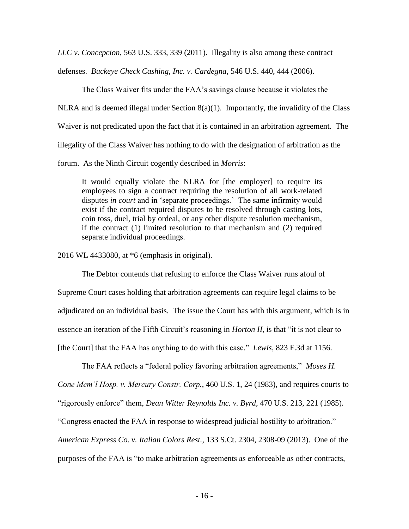*LLC v. Concepcion*, 563 U.S. 333, 339 (2011). Illegality is also among these contract

defenses. *Buckeye Check Cashing, Inc. v. Cardegna*, 546 U.S. 440, 444 (2006).

The Class Waiver fits under the FAA's savings clause because it violates the NLRA and is deemed illegal under Section 8(a)(1). Importantly, the invalidity of the Class Waiver is not predicated upon the fact that it is contained in an arbitration agreement. The illegality of the Class Waiver has nothing to do with the designation of arbitration as the forum. As the Ninth Circuit cogently described in *Morris*:

It would equally violate the NLRA for [the employer] to require its employees to sign a contract requiring the resolution of all work-related disputes *in court* and in 'separate proceedings.' The same infirmity would exist if the contract required disputes to be resolved through casting lots, coin toss, duel, trial by ordeal, or any other dispute resolution mechanism, if the contract (1) limited resolution to that mechanism and (2) required separate individual proceedings.

2016 WL 4433080, at \*6 (emphasis in original).

The Debtor contends that refusing to enforce the Class Waiver runs afoul of Supreme Court cases holding that arbitration agreements can require legal claims to be adjudicated on an individual basis. The issue the Court has with this argument, which is in essence an iteration of the Fifth Circuit's reasoning in *Horton II*, is that "it is not clear to [the Court] that the FAA has anything to do with this case." *Lewis*, 823 F.3d at 1156.

The FAA reflects a "federal policy favoring arbitration agreements," *Moses H.* 

*Cone Mem'l Hosp. v. Mercury Constr. Corp.*, 460 U.S. 1, 24 (1983), and requires courts to

"rigorously enforce" them, *Dean Witter Reynolds Inc. v. Byrd*, 470 U.S. 213, 221 (1985).

"Congress enacted the FAA in response to widespread judicial hostility to arbitration."

*American Express Co. v. Italian Colors Rest.*, 133 S.Ct. 2304, 2308-09 (2013). One of the purposes of the FAA is "to make arbitration agreements as enforceable as other contracts,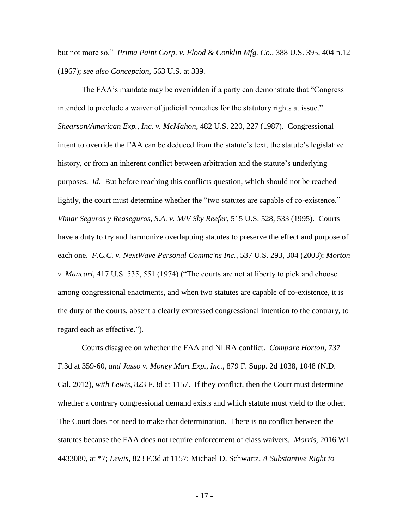but not more so." *Prima Paint Corp. v. Flood & Conklin Mfg. Co.*, 388 U.S. 395, 404 n.12 (1967); *see also Concepcion*, 563 U.S. at 339.

The FAA's mandate may be overridden if a party can demonstrate that "Congress intended to preclude a waiver of judicial remedies for the statutory rights at issue." *Shearson/American Exp., Inc. v. McMahon*, 482 U.S. 220, 227 (1987). Congressional intent to override the FAA can be deduced from the statute's text, the statute's legislative history, or from an inherent conflict between arbitration and the statute's underlying purposes. *Id.* But before reaching this conflicts question, which should not be reached lightly, the court must determine whether the "two statutes are capable of co-existence." *Vimar Seguros y Reaseguros, S.A. v. M/V Sky Reefer*, 515 U.S. 528, 533 (1995). Courts have a duty to try and harmonize overlapping statutes to preserve the effect and purpose of each one. *F.C.C. v. NextWave Personal Commc'ns Inc.*, 537 U.S. 293, 304 (2003); *Morton v. Mancari*, 417 U.S. 535, 551 (1974) ("The courts are not at liberty to pick and choose among congressional enactments, and when two statutes are capable of co-existence, it is the duty of the courts, absent a clearly expressed congressional intention to the contrary, to regard each as effective.").

Courts disagree on whether the FAA and NLRA conflict. *Compare Horton*, 737 F.3d at 359-60, *and Jasso v. Money Mart Exp., Inc.*, 879 F. Supp. 2d 1038, 1048 (N.D. Cal. 2012), *with Lewis*, 823 F.3d at 1157. If they conflict, then the Court must determine whether a contrary congressional demand exists and which statute must yield to the other. The Court does not need to make that determination. There is no conflict between the statutes because the FAA does not require enforcement of class waivers. *Morris*, 2016 WL 4433080, at \*7; *Lewis*, 823 F.3d at 1157; Michael D. Schwartz, *A Substantive Right to*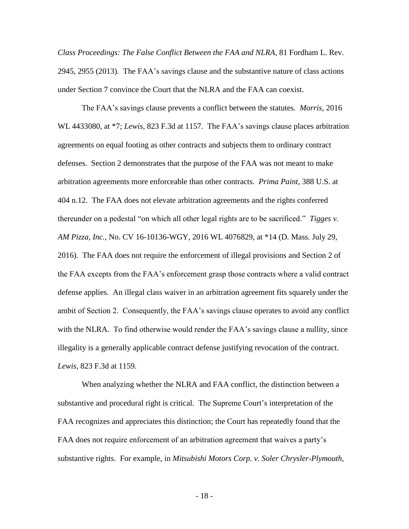*Class Proceedings: The False Conflict Between the FAA and NLRA*, 81 Fordham L. Rev. 2945, 2955 (2013). The FAA's savings clause and the substantive nature of class actions under Section 7 convince the Court that the NLRA and the FAA can coexist.

The FAA's savings clause prevents a conflict between the statutes. *Morris*, 2016 WL 4433080, at \*7; *Lewis*, 823 F.3d at 1157. The FAA's savings clause places arbitration agreements on equal footing as other contracts and subjects them to ordinary contract defenses. Section 2 demonstrates that the purpose of the FAA was not meant to make arbitration agreements more enforceable than other contracts. *Prima Paint*, 388 U.S. at 404 n.12. The FAA does not elevate arbitration agreements and the rights conferred thereunder on a pedestal "on which all other legal rights are to be sacrificed." *Tigges v. AM Pizza, Inc.*, No. CV 16-10136-WGY, 2016 WL 4076829, at \*14 (D. Mass. July 29, 2016). The FAA does not require the enforcement of illegal provisions and Section 2 of the FAA excepts from the FAA's enforcement grasp those contracts where a valid contract defense applies. An illegal class waiver in an arbitration agreement fits squarely under the ambit of Section 2. Consequently, the FAA's savings clause operates to avoid any conflict with the NLRA. To find otherwise would render the FAA's savings clause a nullity, since illegality is a generally applicable contract defense justifying revocation of the contract. *Lewis*, 823 F.3d at 1159.

When analyzing whether the NLRA and FAA conflict, the distinction between a substantive and procedural right is critical. The Supreme Court's interpretation of the FAA recognizes and appreciates this distinction; the Court has repeatedly found that the FAA does not require enforcement of an arbitration agreement that waives a party's substantive rights. For example, in *Mitsubishi Motors Corp. v. Soler Chrysler-Plymouth,* 

- 18 -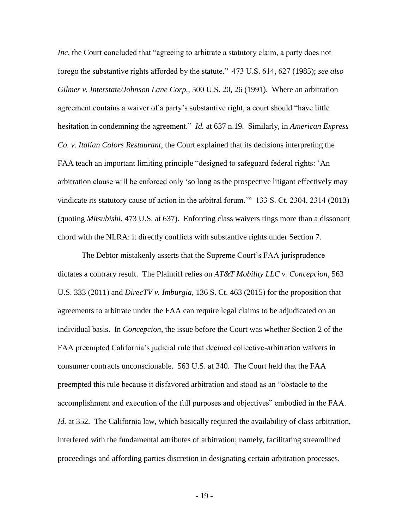*Inc*, the Court concluded that "agreeing to arbitrate a statutory claim, a party does not forego the substantive rights afforded by the statute." 473 U.S. 614, 627 (1985); *see also Gilmer v. Interstate/Johnson Lane Corp.*, 500 U.S. 20, 26 (1991).Where an arbitration agreement contains a waiver of a party's substantive right, a court should "have little hesitation in condemning the agreement." *Id.* at 637 n.19. Similarly, in *American Express Co. v. Italian Colors Restaurant*, the Court explained that its decisions interpreting the FAA teach an important limiting principle "designed to safeguard federal rights: 'An arbitration clause will be enforced only 'so long as the prospective litigant effectively may vindicate its statutory cause of action in the arbitral forum.'" 133 S. Ct. 2304, 2314 (2013) (quoting *Mitsubishi*, 473 U.S. at 637). Enforcing class waivers rings more than a dissonant chord with the NLRA: it directly conflicts with substantive rights under Section 7.

The Debtor mistakenly asserts that the Supreme Court's FAA jurisprudence dictates a contrary result. The Plaintiff relies on *AT&T Mobility LLC v. Concepcion*, 563 U.S. 333 (2011) and *DirecTV v. Imburgia*, 136 S. Ct. 463 (2015) for the proposition that agreements to arbitrate under the FAA can require legal claims to be adjudicated on an individual basis. In *Concepcion*, the issue before the Court was whether Section 2 of the FAA preempted California's judicial rule that deemed collective-arbitration waivers in consumer contracts unconscionable. 563 U.S. at 340. The Court held that the FAA preempted this rule because it disfavored arbitration and stood as an "obstacle to the accomplishment and execution of the full purposes and objectives" embodied in the FAA. *Id.* at 352. The California law, which basically required the availability of class arbitration, interfered with the fundamental attributes of arbitration; namely, facilitating streamlined proceedings and affording parties discretion in designating certain arbitration processes.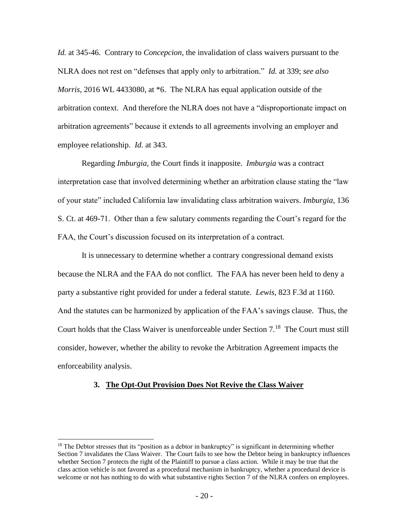*Id.* at 345-46. Contrary to *Concepcion*, the invalidation of class waivers pursuant to the NLRA does not rest on "defenses that apply only to arbitration." *Id.* at 339; *see also Morris*, 2016 WL 4433080, at \*6. The NLRA has equal application outside of the arbitration context. And therefore the NLRA does not have a "disproportionate impact on arbitration agreements" because it extends to all agreements involving an employer and employee relationship. *Id.* at 343.

Regarding *Imburgia,* the Court finds it inapposite. *Imburgia* was a contract interpretation case that involved determining whether an arbitration clause stating the "law of your state" included California law invalidating class arbitration waivers. *Imburgia*, 136 S. Ct. at 469-71. Other than a few salutary comments regarding the Court's regard for the FAA, the Court's discussion focused on its interpretation of a contract.

It is unnecessary to determine whether a contrary congressional demand exists because the NLRA and the FAA do not conflict. The FAA has never been held to deny a party a substantive right provided for under a federal statute. *Lewis*, 823 F.3d at 1160. And the statutes can be harmonized by application of the FAA's savings clause. Thus, the Court holds that the Class Waiver is unenforceable under Section 7.<sup>18</sup> The Court must still consider, however, whether the ability to revoke the Arbitration Agreement impacts the enforceability analysis.

## **3. The Opt-Out Provision Does Not Revive the Class Waiver**

<sup>&</sup>lt;sup>18</sup> The Debtor stresses that its "position as a debtor in bankruptcy" is significant in determining whether Section 7 invalidates the Class Waiver. The Court fails to see how the Debtor being in bankruptcy influences whether Section 7 protects the right of the Plaintiff to pursue a class action. While it may be true that the class action vehicle is not favored as a procedural mechanism in bankruptcy, whether a procedural device is welcome or not has nothing to do with what substantive rights Section 7 of the NLRA confers on employees.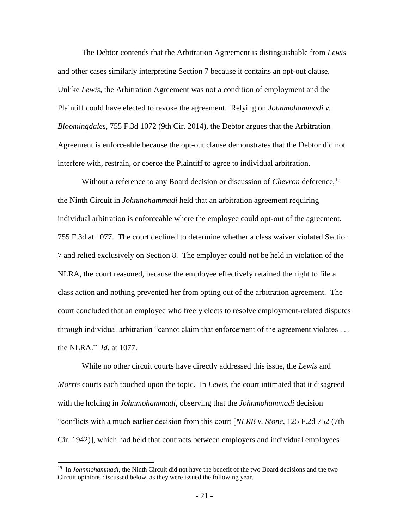The Debtor contends that the Arbitration Agreement is distinguishable from *Lewis* and other cases similarly interpreting Section 7 because it contains an opt-out clause. Unlike *Lewis,* the Arbitration Agreement was not a condition of employment and the Plaintiff could have elected to revoke the agreement. Relying on *Johnmohammadi v. Bloomingdales*, 755 F.3d 1072 (9th Cir. 2014), the Debtor argues that the Arbitration Agreement is enforceable because the opt-out clause demonstrates that the Debtor did not interfere with, restrain, or coerce the Plaintiff to agree to individual arbitration.

Without a reference to any Board decision or discussion of *Chevron* deference,<sup>19</sup> the Ninth Circuit in *Johnmohammadi* held that an arbitration agreement requiring individual arbitration is enforceable where the employee could opt-out of the agreement. 755 F.3d at 1077. The court declined to determine whether a class waiver violated Section 7 and relied exclusively on Section 8. The employer could not be held in violation of the NLRA, the court reasoned, because the employee effectively retained the right to file a class action and nothing prevented her from opting out of the arbitration agreement. The court concluded that an employee who freely elects to resolve employment-related disputes through individual arbitration "cannot claim that enforcement of the agreement violates . . . the NLRA." *Id.* at 1077.

While no other circuit courts have directly addressed this issue, the *Lewis* and *Morris* courts each touched upon the topic. In *Lewis,* the court intimated that it disagreed with the holding in *Johnmohammadi*, observing that the *Johnmohammadi* decision "conflicts with a much earlier decision from this court [*NLRB v. Stone*, 125 F.2d 752 (7th Cir. 1942)], which had held that contracts between employers and individual employees

<sup>&</sup>lt;sup>19</sup> In *Johnmohammadi*, the Ninth Circuit did not have the benefit of the two Board decisions and the two Circuit opinions discussed below, as they were issued the following year.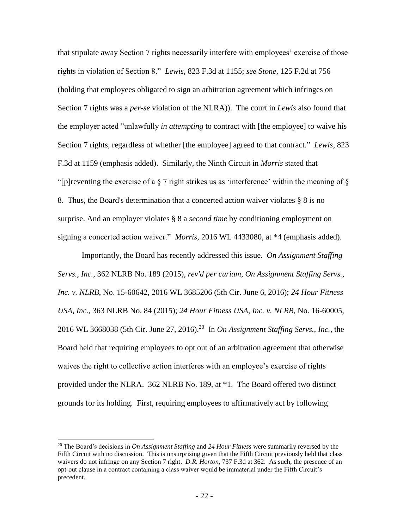that stipulate away Section 7 rights necessarily interfere with employees' exercise of those rights in violation of Section 8." *Lewis*, 823 F.3d at 1155; *see Stone*, 125 F.2d at 756 (holding that employees obligated to sign an arbitration agreement which infringes on Section 7 rights was a *per-se* violation of the NLRA)). The court in *Lewis* also found that the employer acted "unlawfully *in attempting* to contract with [the employee] to waive his Section 7 rights, regardless of whether [the employee] agreed to that contract." *Lewis*, 823 F.3d at 1159 (emphasis added). Similarly, the Ninth Circuit in *Morris* stated that "[p]reventing the exercise of a  $\S$  7 right strikes us as 'interference' within the meaning of  $\S$ 8. Thus, the Board's determination that a concerted action waiver violates § 8 is no surprise. And an employer violates § 8 a *second time* by conditioning employment on signing a concerted action waiver." *Morris*, 2016 WL 4433080, at \*4 (emphasis added).

Importantly, the Board has recently addressed this issue. *On Assignment Staffing Servs., Inc.*, 362 NLRB No. 189 (2015), *rev'd per curiam*, *On Assignment Staffing Servs., Inc. v. NLRB*, No. 15-60642, 2016 WL 3685206 (5th Cir. June 6, 2016); *24 Hour Fitness USA, Inc.*, 363 NLRB No. 84 (2015); *24 Hour Fitness USA, Inc. v. NLRB*, No. 16-60005, 2016 WL 3668038 (5th Cir. June 27, 2016).<sup>20</sup> In *On Assignment Staffing Servs., Inc.*, the Board held that requiring employees to opt out of an arbitration agreement that otherwise waives the right to collective action interferes with an employee's exercise of rights provided under the NLRA. 362 NLRB No. 189, at \*1. The Board offered two distinct grounds for its holding. First, requiring employees to affirmatively act by following

<sup>20</sup> The Board's decisions in *On Assignment Staffing* and *24 Hour Fitness* were summarily reversed by the Fifth Circuit with no discussion. This is unsurprising given that the Fifth Circuit previously held that class waivers do not infringe on any Section 7 right. *D.R. Horton*, 737 F.3d at 362. As such, the presence of an opt-out clause in a contract containing a class waiver would be immaterial under the Fifth Circuit's precedent.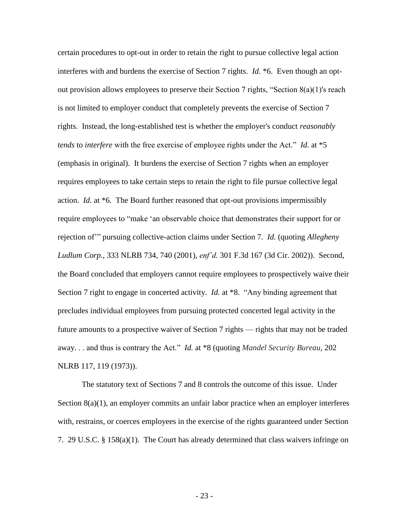certain procedures to opt-out in order to retain the right to pursue collective legal action interferes with and burdens the exercise of Section 7 rights. *Id.* \*6. Even though an optout provision allows employees to preserve their Section 7 rights, "Section 8(a)(1)'s reach is not limited to employer conduct that completely prevents the exercise of Section 7 rights. Instead, the long-established test is whether the employer's conduct *reasonably tends* to *interfere* with the free exercise of employee rights under the Act." *Id.* at \*5 (emphasis in original). It burdens the exercise of Section 7 rights when an employer requires employees to take certain steps to retain the right to file pursue collective legal action. *Id.* at \*6. The Board further reasoned that opt-out provisions impermissibly require employees to "make 'an observable choice that demonstrates their support for or rejection of'" pursuing collective-action claims under Section 7. *Id.* (quoting *Allegheny Ludlum Corp.*, 333 NLRB 734, 740 (2001), *enf'd*. 301 F.3d 167 (3d Cir. 2002)). Second, the Board concluded that employers cannot require employees to prospectively waive their Section 7 right to engage in concerted activity. *Id.* at \*8. "Any binding agreement that precludes individual employees from pursuing protected concerted legal activity in the future amounts to a prospective waiver of Section 7 rights — rights that may not be traded away. . . and thus is contrary the Act." *Id.* at \*8 (quoting *Mandel Security Bureau*, 202 NLRB 117, 119 (1973)).

The statutory text of Sections 7 and 8 controls the outcome of this issue. Under Section 8(a)(1), an employer commits an unfair labor practice when an employer interferes with, restrains, or coerces employees in the exercise of the rights guaranteed under Section 7. 29 U.S.C. § 158(a)(1). The Court has already determined that class waivers infringe on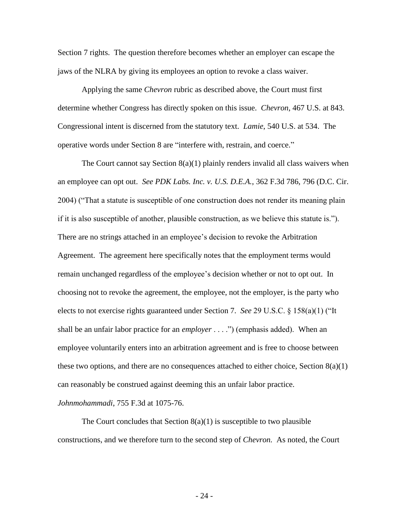Section 7 rights. The question therefore becomes whether an employer can escape the jaws of the NLRA by giving its employees an option to revoke a class waiver.

Applying the same *Chevron* rubric as described above, the Court must first determine whether Congress has directly spoken on this issue. *Chevron*, 467 U.S. at 843. Congressional intent is discerned from the statutory text. *Lamie*, 540 U.S. at 534. The operative words under Section 8 are "interfere with, restrain, and coerce."

The Court cannot say Section  $8(a)(1)$  plainly renders invalid all class waivers when an employee can opt out. *See PDK Labs. Inc. v. U.S. D.E.A.*, 362 F.3d 786, 796 (D.C. Cir. 2004) ("That a statute is susceptible of one construction does not render its meaning plain if it is also susceptible of another, plausible construction, as we believe this statute is."). There are no strings attached in an employee's decision to revoke the Arbitration Agreement. The agreement here specifically notes that the employment terms would remain unchanged regardless of the employee's decision whether or not to opt out. In choosing not to revoke the agreement, the employee, not the employer, is the party who elects to not exercise rights guaranteed under Section 7. *See* 29 U.S.C. § 158(a)(1) ("It shall be an unfair labor practice for an *employer* . . . .") (emphasis added). When an employee voluntarily enters into an arbitration agreement and is free to choose between these two options, and there are no consequences attached to either choice, Section  $8(a)(1)$ can reasonably be construed against deeming this an unfair labor practice.

*Johnmohammadi*, 755 F.3d at 1075-76.

The Court concludes that Section  $8(a)(1)$  is susceptible to two plausible constructions, and we therefore turn to the second step of *Chevron.* As noted, the Court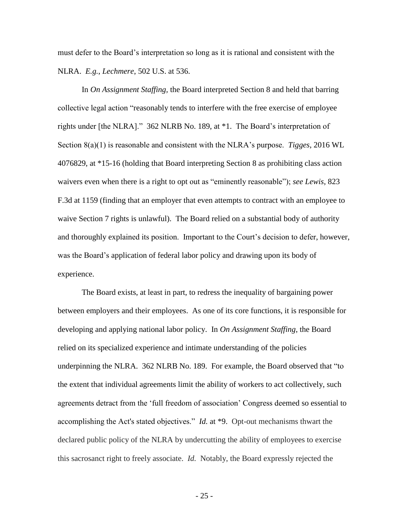must defer to the Board's interpretation so long as it is rational and consistent with the NLRA. *E.g.*, *Lechmere*, 502 U.S. at 536.

In *On Assignment Staffing,* the Board interpreted Section 8 and held that barring collective legal action "reasonably tends to interfere with the free exercise of employee rights under [the NLRA]." 362 NLRB No. 189, at \*1. The Board's interpretation of Section 8(a)(1) is reasonable and consistent with the NLRA's purpose. *Tigges*, 2016 WL 4076829, at \*15-16 (holding that Board interpreting Section 8 as prohibiting class action waivers even when there is a right to opt out as "eminently reasonable"); *see Lewis*, 823 F.3d at 1159 (finding that an employer that even attempts to contract with an employee to waive Section 7 rights is unlawful). The Board relied on a substantial body of authority and thoroughly explained its position. Important to the Court's decision to defer, however, was the Board's application of federal labor policy and drawing upon its body of experience.

The Board exists, at least in part, to redress the inequality of bargaining power between employers and their employees. As one of its core functions, it is responsible for developing and applying national labor policy. In *On Assignment Staffing*, the Board relied on its specialized experience and intimate understanding of the policies underpinning the NLRA. 362 NLRB No. 189. For example, the Board observed that "to the extent that individual agreements limit the ability of workers to act collectively, such agreements detract from the 'full freedom of association' Congress deemed so essential to accomplishing the Act's stated objectives." *Id.* at \*9. Opt-out mechanisms thwart the declared public policy of the NLRA by undercutting the ability of employees to exercise this sacrosanct right to freely associate. *Id.* Notably, the Board expressly rejected the

- 25 -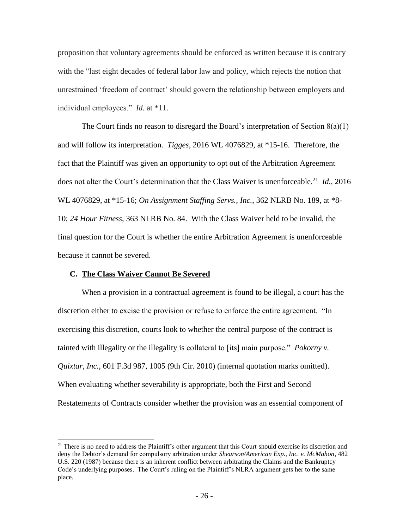proposition that voluntary agreements should be enforced as written because it is contrary with the "last eight decades of federal labor law and policy, which rejects the notion that unrestrained 'freedom of contract' should govern the relationship between employers and individual employees." *Id.* at \*11.

The Court finds no reason to disregard the Board's interpretation of Section  $8(a)(1)$ and will follow its interpretation. *Tigges*, 2016 WL 4076829, at \*15-16. Therefore, the fact that the Plaintiff was given an opportunity to opt out of the Arbitration Agreement does not alter the Court's determination that the Class Waiver is unenforceable.<sup>21</sup> *Id.*, 2016 WL 4076829, at \*15-16; *On Assignment Staffing Servs., Inc.*, 362 NLRB No. 189, at \*8- 10; *24 Hour Fitness*, 363 NLRB No. 84. With the Class Waiver held to be invalid, the final question for the Court is whether the entire Arbitration Agreement is unenforceable because it cannot be severed.

## **C. The Class Waiver Cannot Be Severed**

l

When a provision in a contractual agreement is found to be illegal, a court has the discretion either to excise the provision or refuse to enforce the entire agreement. "In exercising this discretion, courts look to whether the central purpose of the contract is tainted with illegality or the illegality is collateral to [its] main purpose." *Pokorny v. Quixtar, Inc.*, 601 F.3d 987, 1005 (9th Cir. 2010) (internal quotation marks omitted). When evaluating whether severability is appropriate, both the First and Second Restatements of Contracts consider whether the provision was an essential component of

 $21$  There is no need to address the Plaintiff's other argument that this Court should exercise its discretion and deny the Debtor's demand for compulsory arbitration under *Shearson/American Exp., Inc. v. McMahon*, 482 U.S. 220 (1987) because there is an inherent conflict between arbitrating the Claims and the Bankruptcy Code's underlying purposes. The Court's ruling on the Plaintiff's NLRA argument gets her to the same place.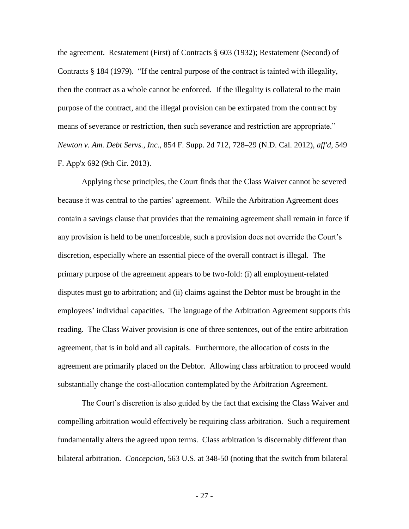the agreement. Restatement (First) of Contracts § 603 (1932); Restatement (Second) of Contracts § 184 (1979). "If the central purpose of the contract is tainted with illegality, then the contract as a whole cannot be enforced. If the illegality is collateral to the main purpose of the contract, and the illegal provision can be extirpated from the contract by means of severance or restriction, then such severance and restriction are appropriate." *Newton v. Am. Debt Servs., Inc.*, 854 F. Supp. 2d 712, 728–29 (N.D. Cal. 2012), *aff'd*, 549 F. App'x 692 (9th Cir. 2013).

Applying these principles, the Court finds that the Class Waiver cannot be severed because it was central to the parties' agreement. While the Arbitration Agreement does contain a savings clause that provides that the remaining agreement shall remain in force if any provision is held to be unenforceable, such a provision does not override the Court's discretion, especially where an essential piece of the overall contract is illegal. The primary purpose of the agreement appears to be two-fold: (i) all employment-related disputes must go to arbitration; and (ii) claims against the Debtor must be brought in the employees' individual capacities. The language of the Arbitration Agreement supports this reading. The Class Waiver provision is one of three sentences, out of the entire arbitration agreement, that is in bold and all capitals. Furthermore, the allocation of costs in the agreement are primarily placed on the Debtor. Allowing class arbitration to proceed would substantially change the cost-allocation contemplated by the Arbitration Agreement.

The Court's discretion is also guided by the fact that excising the Class Waiver and compelling arbitration would effectively be requiring class arbitration. Such a requirement fundamentally alters the agreed upon terms. Class arbitration is discernably different than bilateral arbitration. *Concepcion*, 563 U.S. at 348-50 (noting that the switch from bilateral

- 27 -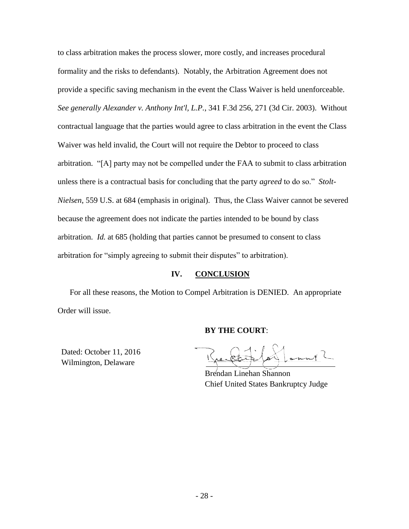to class arbitration makes the process slower, more costly, and increases procedural formality and the risks to defendants). Notably, the Arbitration Agreement does not provide a specific saving mechanism in the event the Class Waiver is held unenforceable. *See generally Alexander v. Anthony Int'l, L.P.*, 341 F.3d 256, 271 (3d Cir. 2003). Without contractual language that the parties would agree to class arbitration in the event the Class Waiver was held invalid, the Court will not require the Debtor to proceed to class arbitration. "[A] party may not be compelled under the FAA to submit to class arbitration unless there is a contractual basis for concluding that the party *agreed* to do so." *Stolt-Nielsen*, 559 U.S. at 684 (emphasis in original). Thus, the Class Waiver cannot be severed because the agreement does not indicate the parties intended to be bound by class arbitration. *Id.* at 685 (holding that parties cannot be presumed to consent to class arbitration for "simply agreeing to submit their disputes" to arbitration).

## **IV. CONCLUSION**

For all these reasons, the Motion to Compel Arbitration is DENIED. An appropriate Order will issue.

## **BY THE COURT**:

Dated: October 11, 2016 Wilmington, Delaware

 Brendan Linehan Shannon Chief United States Bankruptcy Judge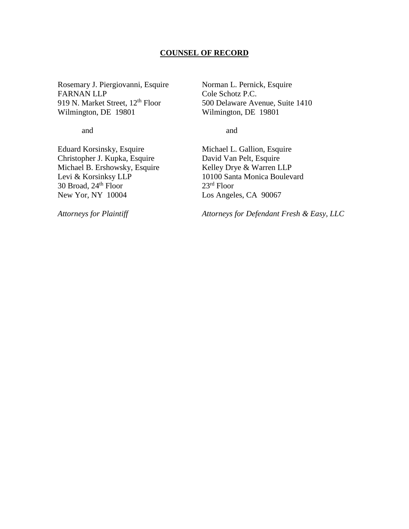### **COUNSEL OF RECORD**

Rosemary J. Piergiovanni, Esquire Norman L. Pernick, Esquire<br>FARNAN LLP Cole Schotz P.C. 919 N. Market Street, 12<sup>th</sup> Floor 500 Delaware Avenue, Suite 1410 Wilmington, DE 19801 Wilmington, DE 19801

Cole Schotz P.C.

and and

Eduard Korsinsky, Esquire Michael L. Gallion, Esquire Christopher J. Kupka, Esquire David Van Pelt, Esquire<br>Michael B. Ershowsky, Esquire Kelley Drye & Warren LLP Michael B. Ershowsky, Esquire<br>Levi & Korsinksy LLP 30 Broad,  $24<sup>th</sup>$  Floor New Yor, NY 10004 Los Angeles, CA 90067

10100 Santa Monica Boulevard<br> $23<sup>rd</sup>$  Floor

*Attorneys for Plaintiff Attorneys for Defendant Fresh & Easy, LLC*